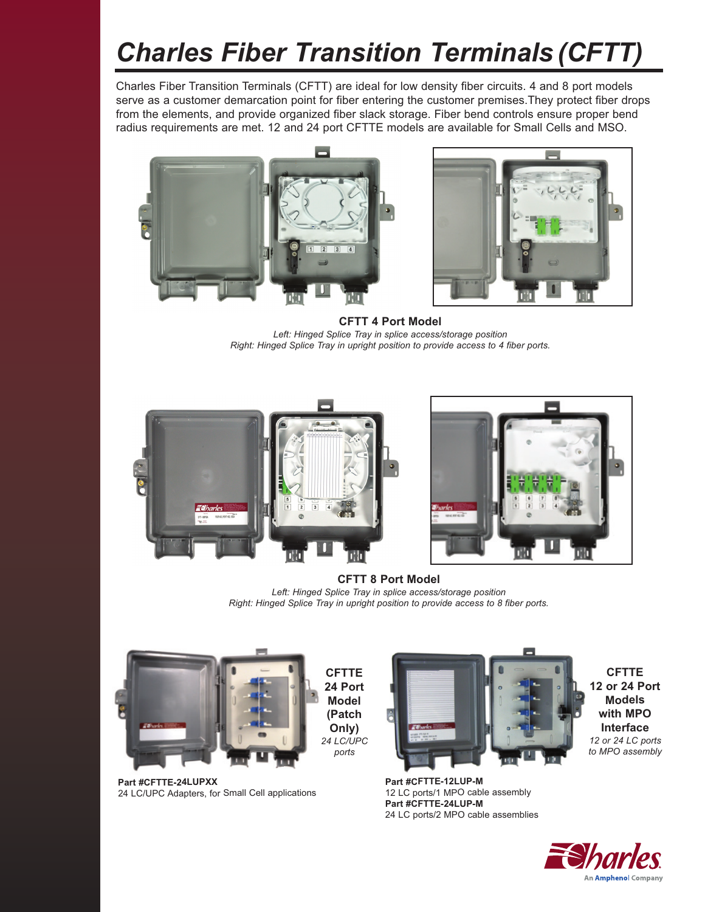# *Charles Fiber Transition Terminals (CFTT)*

Charles Fiber Transition Terminals (CFTT) are ideal for low density fiber circuits. 4 and 8 port models serve as a customer demarcation point for fiber entering the customer premises.They protect fiber drops from the elements, and provide organized fiber slack storage. Fiber bend controls ensure proper bend radius requirements are met. 12 and 24 port CFTTE models are available for Small Cells and MSO.



**CFTT 4 Port Model** *Left: Hinged Splice Tray in splice access/storage position Right: Hinged Splice Tray in upright position to provide access to 4 fiber ports.*



**CFTT 8 Port Model** *Left: Hinged Splice Tray in splice access/storage position Right: Hinged Splice Tray in upright position to provide access to 8 fiber ports.*



**Part #CFTTE-24LUPXX** 24 LC/UPC Adapters, for Small Cell applications



**Part #CFTTE-12LUP-M** 12 LC ports/1 MPO cable assembly **Part #CFTTE-24LUP-M** 24 LC ports/2 MPO cable assemblies